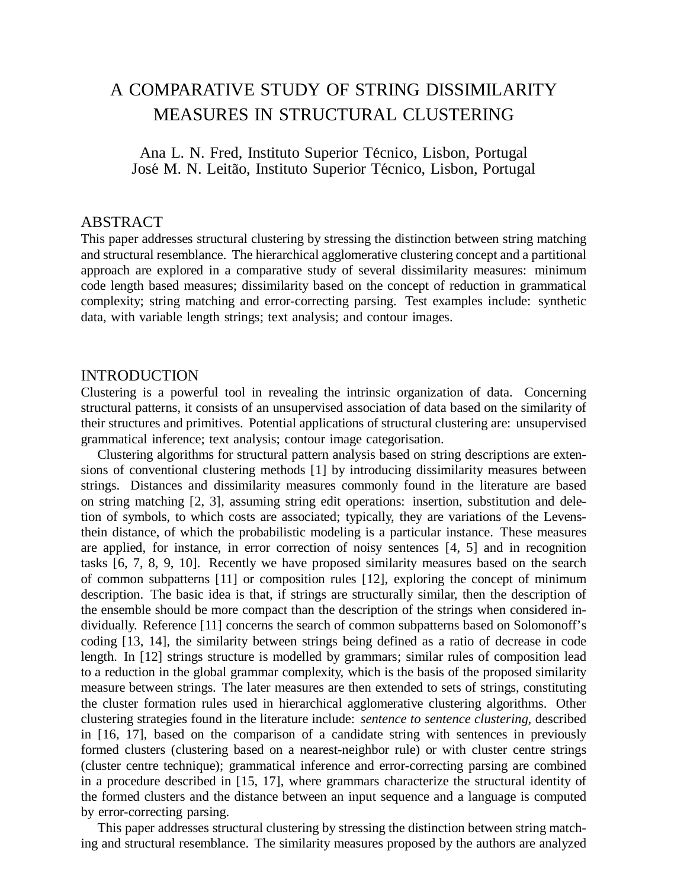# A COMPARATIVE STUDY OF STRING DISSIMILARITY MEASURES IN STRUCTURAL CLUSTERING

Ana L. N. Fred, Instituto Superior Técnico, Lisbon, Portugal José M. N. Leitão, Instituto Superior Técnico, Lisbon, Portugal

## ABSTRACT

This paper addresses structural clustering by stressing the distinction between string matching and structural resemblance. The hierarchical agglomerative clustering concept and a partitional approach are explored in a comparative study of several dissimilarity measures: minimum code length based measures; dissimilarity based on the concept of reduction in grammatical complexity; string matching and error-correcting parsing. Test examples include: synthetic data, with variable length strings; text analysis; and contour images.

## INTRODUCTION

Clustering is a powerful tool in revealing the intrinsic organization of data. Concerning structural patterns, it consists of an unsupervised association of data based on the similarity of their structures and primitives. Potential applications of structural clustering are: unsupervised grammatical inference; text analysis; contour image categorisation.

Clustering algorithms for structural pattern analysis based on string descriptions are extensions of conventional clustering methods [1] by introducing dissimilarity measures between strings. Distances and dissimilarity measures commonly found in the literature are based on string matching [2, 3], assuming string edit operations: insertion, substitution and deletion of symbols, to which costs are associated; typically, they are variations of the Levensthein distance, of which the probabilistic modeling is a particular instance. These measures are applied, for instance, in error correction of noisy sentences [4, 5] and in recognition tasks [6, 7, 8, 9, 10]. Recently we have proposed similarity measures based on the search of common subpatterns [11] or composition rules [12], exploring the concept of minimum description. The basic idea is that, if strings are structurally similar, then the description of the ensemble should be more compact than the description of the strings when considered individually. Reference [11] concerns the search of common subpatterns based on Solomonoff's coding [13, 14], the similarity between strings being defined as a ratio of decrease in code length. In [12] strings structure is modelled by grammars; similar rules of composition lead to a reduction in the global grammar complexity, which is the basis of the proposed similarity measure between strings. The later measures are then extended to sets of strings, constituting the cluster formation rules used in hierarchical agglomerative clustering algorithms. Other clustering strategies found in the literature include: *sentence to sentence clustering*, described in [16, 17], based on the comparison of a candidate string with sentences in previously formed clusters (clustering based on a nearest-neighbor rule) or with cluster centre strings (cluster centre technique); grammatical inference and error-correcting parsing are combined in a procedure described in [15, 17], where grammars characterize the structural identity of the formed clusters and the distance between an input sequence and a language is computed by error-correcting parsing.

This paper addresses structural clustering by stressing the distinction between string matching and structural resemblance. The similarity measures proposed by the authors are analyzed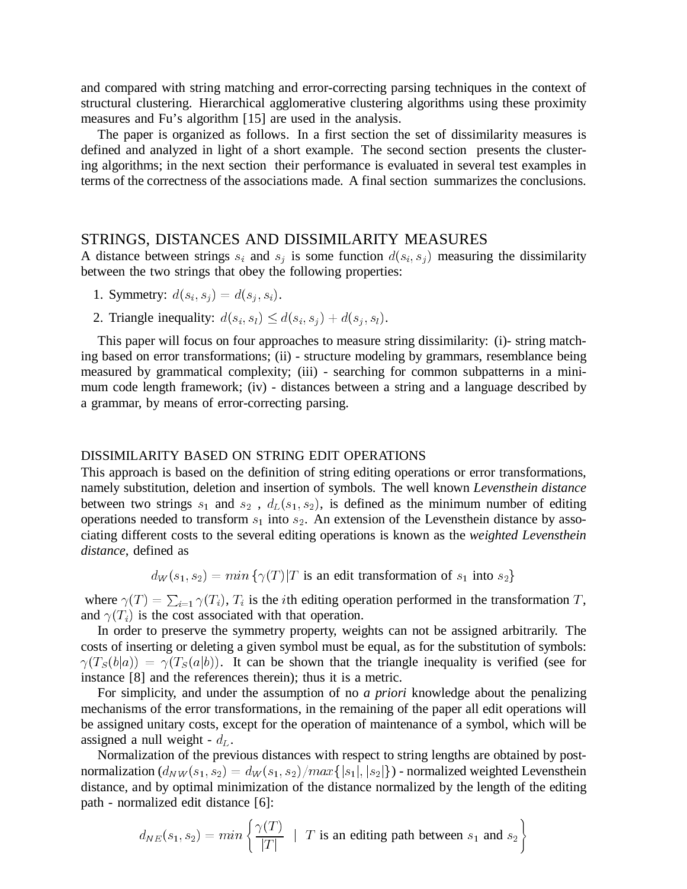and compared with string matching and error-correcting parsing techniques in the context of structural clustering. Hierarchical agglomerative clustering algorithms using these proximity measures and Fu's algorithm [15] are used in the analysis.

The paper is organized as follows. In a first section the set of dissimilarity measures is defined and analyzed in light of a short example. The second section presents the clustering algorithms; in the next section their performance is evaluated in several test examples in terms of the correctness of the associations made. A final section summarizes the conclusions.

## STRINGS, DISTANCES AND DISSIMILARITY MEASURES

A distance between strings  $s_i$  and  $s_j$  is some function  $d(s_i, s_j)$  measuring the dissimilarity between the two strings that obey the following properties:

1. Symmetry: 
$$
d(s_i, s_j) = d(s_j, s_i)
$$
.

2. Triangle inequality:  $d(s_i, s_i) \leq d(s_i, s_j) + d(s_j, s_i)$ .

This paper will focus on four approaches to measure string dissimilarity: (i)- string matching based on error transformations; (ii) - structure modeling by grammars, resemblance being measured by grammatical complexity; (iii) - searching for common subpatterns in a minimum code length framework; (iv) - distances between a string and a language described by a grammar, by means of error-correcting parsing.

### DISSIMILARITY BASED ON STRING EDIT OPERATIONS

This approach is based on the definition of string editing operations or error transformations, namely substitution, deletion and insertion of symbols. The well known *Levensthein distance* between two strings  $s_1$  and  $s_2$ ,  $d_L(s_1, s_2)$ , is defined as the minimum number of editing operations needed to transform  $s_1$  into  $s_2$ . An extension of the Levensthein distance by associating different costs to the several editing operations is known as the *weighted Levensthein distance*, defined as

 $d_W(s_1, s_2) = min \{ \gamma(T) | T$  is an edit transformation of  $s_1$  into  $s_2 \}$ 

where  $\gamma(T) = \sum_{i=1}^T \gamma(T_i)$ ,  $T_i$  is the *i*th editing operation performed in the transformation T, and  $\gamma(T_i)$  is the cost associated with that operation.

In order to preserve the symmetry property, weights can not be assigned arbitrarily. The costs of inserting or deleting a given symbol must be equal, as for the substitution of symbols:  $\gamma(T_S(b|a)) = \gamma(T_S(a|b))$ . It can be shown that the triangle inequality is verified (see for instance [8] and the references therein); thus it is a metric.

For simplicity, and under the assumption of no *a priori* knowledge about the penalizing mechanisms of the error transformations, in the remaining of the paper all edit operations will be assigned unitary costs, except for the operation of maintenance of a symbol, which will be assigned a null weight -  $d_L$ .

Normalization of the previous distances with respect to string lengths are obtained by postnormalization  $(d_{NW}(s_1,s_2) = d_W(s_1,s_2)/max\{|s_1|,|s_2|\})$  - normalized weighted Levensthein distance, and by optimal minimization of the distance normalized by the length of the editing path - normalized edit distance [6]:

$$
d_{NE}(s_1, s_2) = min \left\{ \frac{\gamma(T)}{|T|} \mid T \text{ is an editing path between } s_1 \text{ and } s_2 \right\}
$$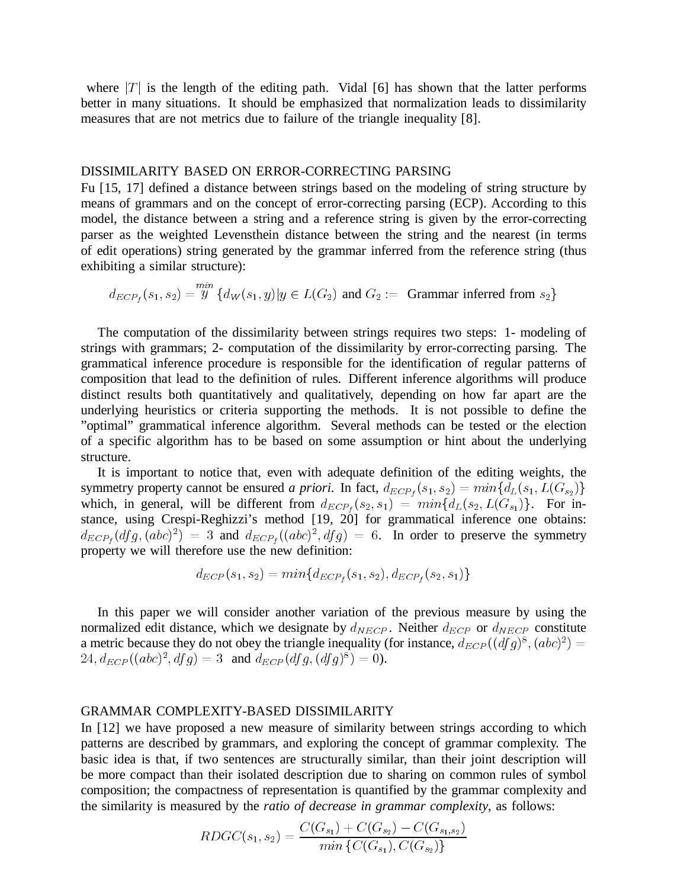where  $|T|$  is the length of the editing path. Vidal [6] has shown that the latter performs better in many situations. It should be emphasized that normalization leads to dissimilarity measures that are not metrics due to failure of the triangle inequality [8].

### DISSIMILARITY BASED ON ERROR-CORRECTING PARSING

Fu [15, 17] defined a distance between strings based on the modeling of string structure by means of grammars and on the concept of error-correcting parsing (ECP). According to this model, the distance between a string and a reference string is given by the error-correcting parser as the weighted Levensthein distance between the string and the nearest (in terms of edit operations) string generated by the grammar inferred from the reference string (thus exhibiting a similar structure):

$$
d_{ECP_f}(s_1, s_2) = \overset{min}{y} \{d_W(s_1, y) | y \in L(G_2) \text{ and } G_2 := \text{ Grammar inferred from } s_2\}
$$

The computation of the dissimilarity between strings requires two steps: 1- modeling of strings with grammars; 2- computation of the dissimilarity by error-correcting parsing. The grammatical inference procedure is responsible for the identification of regular patterns of composition that lead to the definition of rules. Different inference algorithms will produce distinct results both quantitatively and qualitatively, depending on how far apart are the underlying heuristics or criteria supporting the methods. It is not possible to define the "optimal" grammatical inference algorithm. Several methods can be tested or the election of a specific algorithm has to be based on some assumption or hint about the underlying structure.

It is important to notice that, even with adequate definition of the editing weights, the symmetry property cannot be ensured *a priori*. In fact,  $d_{ECP_f}(s_1, s_2) = min\{d_L(s_1, L(G_{s_2})\}$ which, in general, will be different from  $d_{ECP_f}(s_2, s_1) = min\{d_L(s_2, L(G_{s_1})\}$ . For instance, using Crespi-Reghizzi's method [19, 20] for grammatical inference one obtains:  $d_{ECP_f}(dfg, (abc)^2) = 3$  and  $d_{ECP_f}((abc)^2, dfg) = 6$ . In order to preserve the symmetry property we will therefore use the new definition:

$$
d_{ECP}(s_1,s_2) = min\{d_{ECP_f}(s_1,s_2), d_{ECP_f}(s_2,s_1)\}
$$

In this paper we will consider another variation of the previous measure by using the normalized edit distance, which we designate by  $d_{NECP}$ . Neither  $d_{ECP}$  or  $d_{NECP}$  constitute a metric because they do not obey the triangle inequality (for instance,  $d_{ECP}((dfg)^8,(abc)^2) =$  $24, d_{ECP}((abc)^2, dfg) = 3$  and  $d_{ECP}(dfg, (dfg)^8) = 0$ .

#### GRAMMAR COMPLEXITY-BASED DISSIMILARITY

In [12] we have proposed a new measure of similarity between strings according to which patterns are described by grammars, and exploring the concept of grammar complexity. The basic idea is that, if two sentences are structurally similar, than their joint description will be more compact than their isolated description due to sharing on common rules of symbol composition; the compactness of representation is quantified by the grammar complexity and the similarity is measured by the *ratio of decrease in grammar complexity*, as follows:

$$
RDCC(s_1,s_2) = \frac{C(G_{s_1}) + C(G_{s_2}) - C(G_{s_1,s_2})}{min\left\{C(G_{s_1}), C(G_{s_2})\right\}}
$$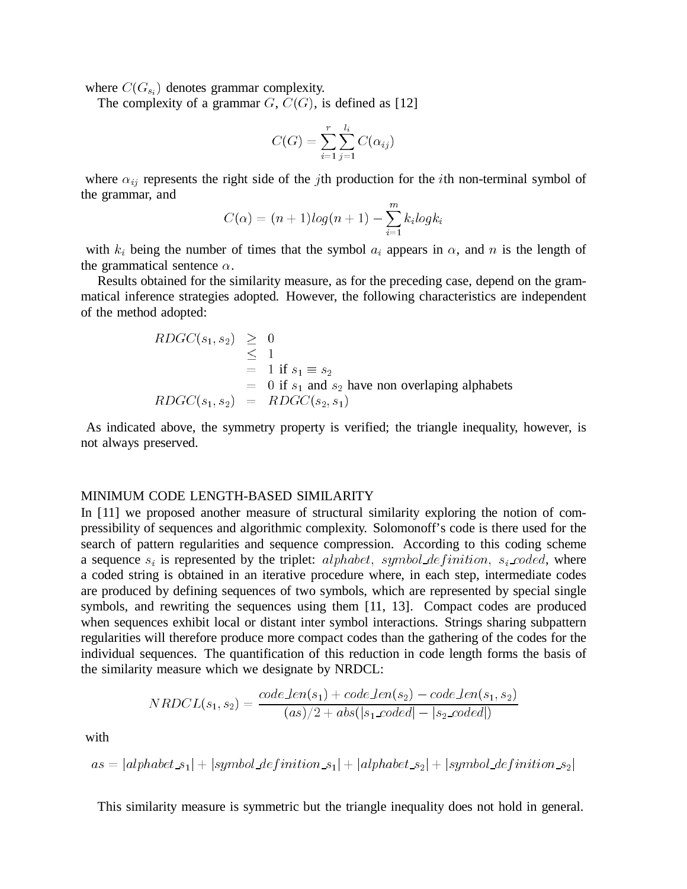where  $C(G_{s_i})$  denotes grammar complexity.

The complexity of a grammar  $G, C(G)$ , is defined as [12]

$$
C(G) = \sum_{i=1}^r \sum_{j=1}^{l_i} C(\alpha_{ij})
$$

where  $\alpha_{ij}$  represents the right side of the jth production for the *i*th non-terminal symbol of the grammar, and

$$
C(\alpha)=(n+1)log(n+1)-\sum_{i=1}^{m}k_{i}logk_{i}
$$

with  $k_i$  being the number of times that the symbol  $a_i$  appears in  $\alpha$ , and n is the length of the grammatical sentence  $\alpha$ .

Results obtained for the similarity measure, as for the preceding case, depend on the grammatical inference strategies adopted. However, the following characteristics are independent of the method adopted:

$$
RDCC(s_1, s_2) \geq 0
$$
  
\n
$$
\leq 1
$$
  
\n
$$
= 1 \text{ if } s_1 \equiv s_2
$$
  
\n
$$
= 0 \text{ if } s_1 \text{ and } s_2 \text{ have non overlapping alphabets}
$$
  
\n
$$
RDCC(s_1, s_2) = RDCC(s_2, s_1)
$$

As indicated above, the symmetry property is verified; the triangle inequality, however, is not always preserved.

### MINIMUM CODE LENGTH-BASED SIMILARITY

In [11] we proposed another measure of structural similarity exploring the notion of compressibility of sequences and algorithmic complexity. Solomonoff's code is there used for the search of pattern regularities and sequence compression. According to this coding scheme a sequence  $s_i$  is represented by the triplet: alphabet, symbol\_definition,  $s_i$ \_coded, where a coded string is obtained in an iterative procedure where, in each step, intermediate codes are produced by defining sequences of two symbols, which are represented by special single symbols, and rewriting the sequences using them [11, 13]. Compact codes are produced when sequences exhibit local or distant inter symbol interactions. Strings sharing subpattern regularities will therefore produce more compact codes than the gathering of the codes for the individual sequences. The quantification of this reduction in code length forms the basis of the similarity measure which we designate by NRDCL:

$$
NRDCL(s_1,s_2) = \dfrac{code\_len(s_1) + code\_len(s_2) - code\_len(s_1,s_2)}{(as)/2 + abs(|s_1\_code| - |s_2\_code|)}
$$

with

$$
as = |alphabet\_s_1| + |symbol\_definition\_s_1| + |alphabet\_s_2| + |symbol\_definition\_s_2|
$$

This similarity measure is symmetric but the triangle inequality does not hold in general.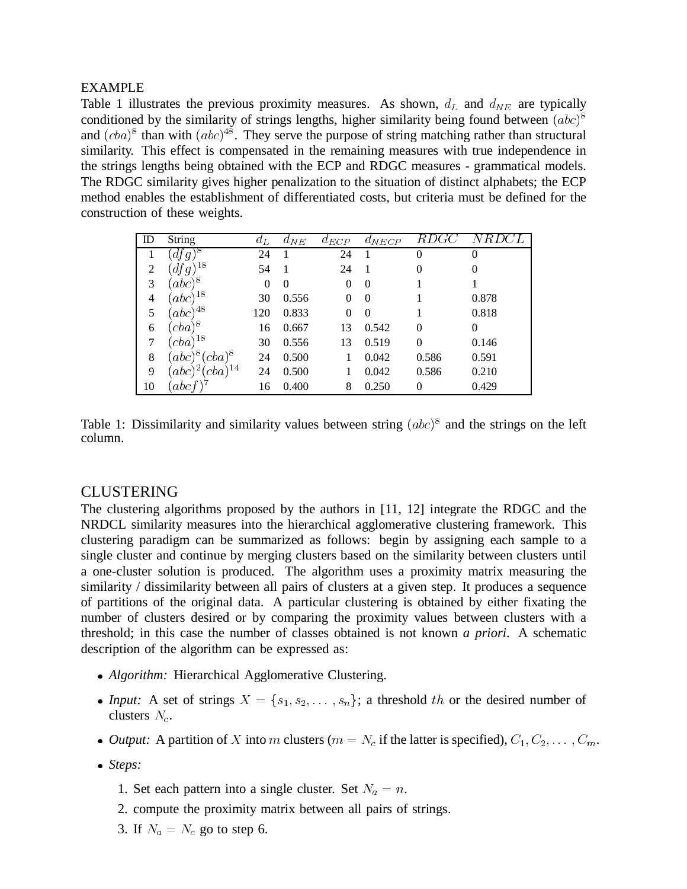## EXAMPLE

Table 1 illustrates the previous proximity measures. As shown,  $d_L$  and  $d_{NE}$  are typically conditioned by the similarity of strings lengths, higher similarity being found between  $(abc)^8$ and  $(cba)^8$  than with  $(abc)^{48}$ . They serve the purpose of string matching rather than structural similarity. This effect is compensated in the remaining measures with true independence in the strings lengths being obtained with the ECP and RDGC measures - grammatical models. The RDGC similarity gives higher penalization to the situation of distinct alphabets; the ECP method enables the establishment of differentiated costs, but criteria must be defined for the construction of these weights.

| ID | <b>String</b>             | $a_L$    | $a_{NE}$ | $a_{ECP}$ | $a_{NECP}$     | KDGC     |          |
|----|---------------------------|----------|----------|-----------|----------------|----------|----------|
|    | -aj g                     | 24       |          | 24        |                | 0        | 0        |
| 2  | $df\tilde{g}^{18}$        | 54       |          | 24        |                | 0        | 0        |
| 3  | $(abc)^8$                 | $\theta$ | $\Omega$ | 0         | $\overline{0}$ |          |          |
| 4  | $(abc)^{18}$              | 30       | 0.556    | 0         | $\Omega$       |          | 0.878    |
| 5  | $(abc)^{48}$              | 120      | 0.833    | 0         | $\Omega$       |          | 0.818    |
| 6  | $(cba)^8$                 | 16       | 0.667    | 13        | 0.542          | $\Omega$ | $\theta$ |
| 7  | $(cba)^{18}$              | 30       | 0.556    | 13        | 0.519          | $\Omega$ | 0.146    |
| 8  | $(abc)^8 (cba)^8$         | 24       | 0.500    |           | 0.042          | 0.586    | 0.591    |
| 9  | $(abc)^2$<br>$(cba)^{14}$ | 24       | 0.500    |           | 0.042          | 0.586    | 0.210    |
| 10 | 'abcf'                    | 16       | 0.400    | 8         | 0.250          | 0        | 0.429    |

Table 1: Dissimilarity and similarity values between string  $(abc)^8$  and the strings on the left column.

## CLUSTERING

The clustering algorithms proposed by the authors in [11, 12] integrate the RDGC and the NRDCL similarity measures into the hierarchical agglomerative clustering framework. This clustering paradigm can be summarized as follows: begin by assigning each sample to a single cluster and continue by merging clusters based on the similarity between clusters until a one-cluster solution is produced. The algorithm uses a proximity matrix measuring the similarity / dissimilarity between all pairs of clusters at a given step. It produces a sequence of partitions of the original data. A particular clustering is obtained by either fixating the number of clusters desired or by comparing the proximity values between clusters with a threshold; in this case the number of classes obtained is not known *a priori*. A schematic description of the algorithm can be expressed as:

- *Algorithm:* Hierarchical Agglomerative Clustering.
- *Input:* A set of strings  $X = \{s_1, s_2, \ldots, s_n\}$ ; a threshold the or the desired number of clusters  $N_c$ .
- *Output:* A partition of X into m clusters ( $m = N_c$  if the latter is specified),  $C_1, C_2, \ldots, C_m$ .
- *Steps:*
	- 1. Set each pattern into a single cluster. Set  $N_a = n$ .
	- 2. compute the proximity matrix between all pairs of strings.
	- 3. If  $N_a = N_c$  go to step 6.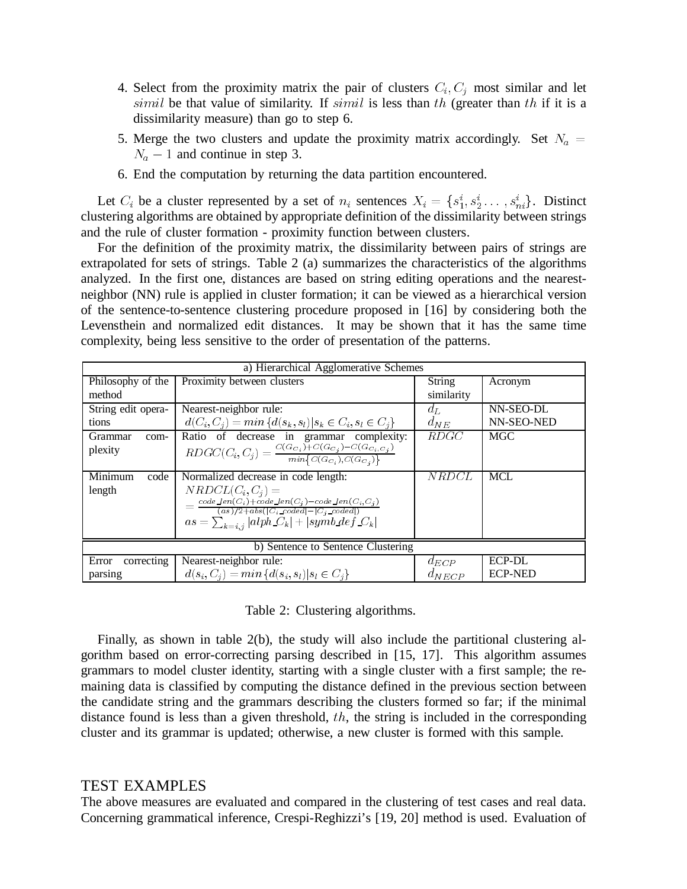- 4. Select from the proximity matrix the pair of clusters  $C_i, C_j$  most similar and let  $\text{simil}$  be that value of similarity. If  $\text{simil}$  is less than  $\text{th}$  (greater than  $\text{th}$  if it is a dissimilarity measure) than go to step 6.
- 5. Merge the two clusters and update the proximity matrix accordingly. Set  $N_a =$  $N_a - 1$  and continue in step 3.
- 6. End the computation by returning the data partition encountered.

Let  $C_i$  be a cluster represented by a set of  $n_i$  sentences  $X_i = \{s_1^i, s_2^i \dots, s_{ni}^i\}$ . Distinct clustering algorithms are obtained by appropriate definition of the dissimilarity between strings and the rule of cluster formation - proximity function between clusters.

For the definition of the proximity matrix, the dissimilarity between pairs of strings are extrapolated for sets of strings. Table 2 (a) summarizes the characteristics of the algorithms analyzed. In the first one, distances are based on string editing operations and the nearestneighbor (NN) rule is applied in cluster formation; it can be viewed as a hierarchical version of the sentence-to-sentence clustering procedure proposed in [16] by considering both the Levensthein and normalized edit distances. It may be shown that it has the same time complexity, being less sensitive to the order of presentation of the patterns.

| a) Hierarchical Agglomerative Schemes |                                                                                                   |              |                |  |  |
|---------------------------------------|---------------------------------------------------------------------------------------------------|--------------|----------------|--|--|
| Philosophy of the                     | Proximity between clusters                                                                        | String       | Acronym        |  |  |
| method                                |                                                                                                   | similarity   |                |  |  |
| String edit opera-                    | Nearest-neighbor rule:                                                                            | $a_{L}$      | NN-SEO-DL      |  |  |
| tions                                 | $d(C_i, C_j) = min \{d(s_k, s_l)  s_k \in C_i, s_l \in C_j\}$                                     | $d_{NE}$     | NN-SEO-NED     |  |  |
| <b>Grammar</b><br>com-                | Ratio of decrease in grammar complexity:                                                          | <i>RDGC</i>  | <b>MGC</b>     |  |  |
| plexity                               | $RDC(C_i, C_j) = \frac{C(G_{C_i}) + C(G_{C_j}) - C(G_{C_i, C_j})}{min\{C(G_{C_i}), C(G_{C_j})\}}$ |              |                |  |  |
|                                       |                                                                                                   |              |                |  |  |
| Minimum<br>code                       | Normalized decrease in code length:                                                               | <i>NRDCL</i> | <b>MCL</b>     |  |  |
| length                                | $NRDCL(C_i, C_i) =$                                                                               |              |                |  |  |
|                                       | $=\tfrac{code\_len(C_i)+code\_len(C_j)-code\_len(C_i,C_j)}{(as)/2+abs( C_i\_code - C_j\_code )}$  |              |                |  |  |
|                                       | $as = \sum_{k=i,j}  alphaC_k  +  symb\_def_C_k $                                                  |              |                |  |  |
|                                       |                                                                                                   |              |                |  |  |
| b) Sentence to Sentence Clustering    |                                                                                                   |              |                |  |  |
| correcting<br>Error                   | Nearest-neighbor rule:                                                                            | $d_{ECP}$    | ECP-DL         |  |  |
| parsing                               | $d(s_i, C_i) = min\{d(s_i, s_i)   s_i \in C_i\}$                                                  | $d_{NECP}$   | <b>ECP-NED</b> |  |  |

Table 2: Clustering algorithms.

Finally, as shown in table 2(b), the study will also include the partitional clustering algorithm based on error-correcting parsing described in [15, 17]. This algorithm assumes grammars to model cluster identity, starting with a single cluster with a first sample; the remaining data is classified by computing the distance defined in the previous section between the candidate string and the grammars describing the clusters formed so far; if the minimal distance found is less than a given threshold,  $th$ , the string is included in the corresponding cluster and its grammar is updated; otherwise, a new cluster is formed with this sample.

# TEST EXAMPLES

The above measures are evaluated and compared in the clustering of test cases and real data. Concerning grammatical inference, Crespi-Reghizzi's [19, 20] method is used. Evaluation of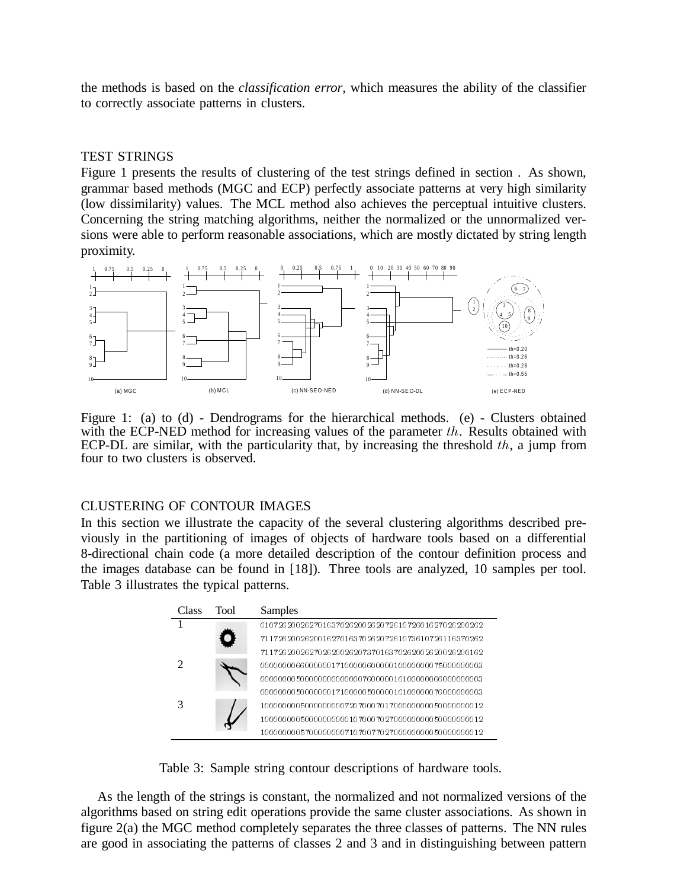the methods is based on the *classification error*, which measures the ability of the classifier to correctly associate patterns in clusters.

## TEST STRINGS

Figure 1 presents the results of clustering of the test strings defined in section . As shown, grammar based methods (MGC and ECP) perfectly associate patterns at very high similarity (low dissimilarity) values. The MCL method also achieves the perceptual intuitive clusters. Concerning the string matching algorithms, neither the normalized or the unnormalized versions were able to perform reasonable associations, which are mostly dictated by string length proximity.



Figure 1: (a) to (d) - Dendrograms for the hierarchical methods. (e) - Clusters obtained with the ECP-NED method for increasing values of the parameter  $th$ . Results obtained with ECP-DL are similar, with the particularity that, by increasing the threshold  $th$ , a jump from four to two clusters is observed.

## CLUSTERING OF CONTOUR IMAGES

In this section we illustrate the capacity of the several clustering algorithms described previously in the partitioning of images of objects of hardware tools based on a differential 8-directional chain code (a more detailed description of the contour definition process and the images database can be found in [18]). Three tools are analyzed, 10 samples per tool. Table 3 illustrates the typical patterns.

| Class | Tool | Samples                                            |
|-------|------|----------------------------------------------------|
|       |      | 61072620026270163702620026207261072601627026200262 |
|       |      | 71172620026200162701637026207261073610726116370262 |
|       |      | 71172620026270262002620737016370262002620026200162 |
|       |      | 00000006660000001710000060000010000000075000000003 |
|       |      |                                                    |
|       |      | 00000006500000001710000050000016100000076000000003 |
|       |      | 1000000005000000000720700070170000000005000000012  |
|       |      | 10000000050000000000107000702700000000050000000012 |
|       |      | 1000000005700000000710700770270000000005000000012  |

Table 3: Sample string contour descriptions of hardware tools.

As the length of the strings is constant, the normalized and not normalized versions of the algorithms based on string edit operations provide the same cluster associations. As shown in figure 2(a) the MGC method completely separates the three classes of patterns. The NN rules are good in associating the patterns of classes 2 and 3 and in distinguishing between pattern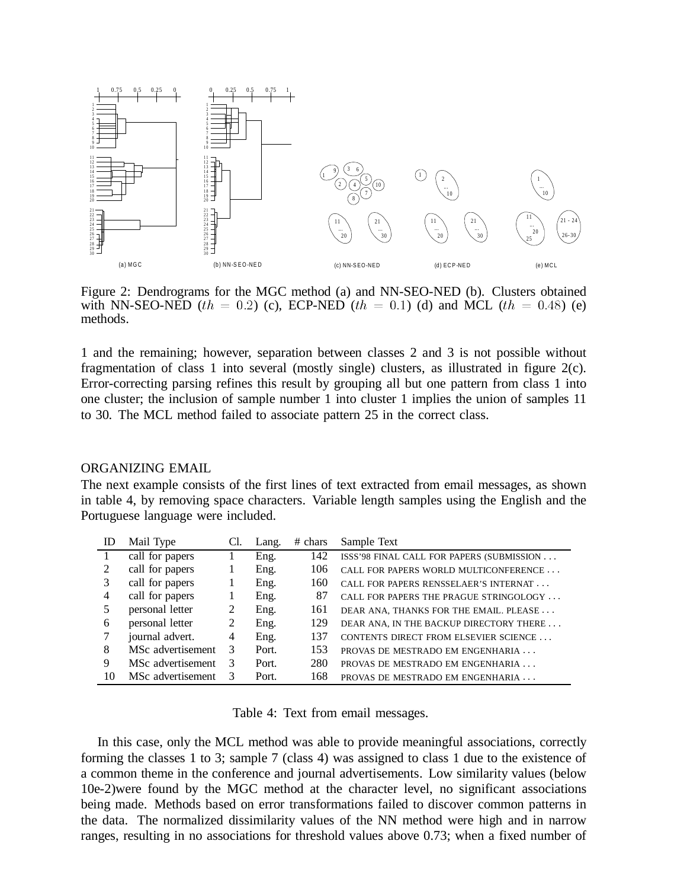

Figure 2: Dendrograms for the MGC method (a) and NN-SEO-NED (b). Clusters obtained with NN-SEO-NED (th = 0.2) (c), ECP-NED (th = 0.1) (d) and MCL (th = 0.48) (e) methods.

1 and the remaining; however, separation between classes 2 and 3 is not possible without fragmentation of class 1 into several (mostly single) clusters, as illustrated in figure  $2(c)$ . Error-correcting parsing refines this result by grouping all but one pattern from class 1 into one cluster; the inclusion of sample number 1 into cluster 1 implies the union of samples 11 to 30. The MCL method failed to associate pattern 25 in the correct class.

### ORGANIZING EMAIL

The next example consists of the first lines of text extracted from email messages, as shown in table 4, by removing space characters. Variable length samples using the English and the Portuguese language were included.

| ID | Mail Type         | Cl. | Lang. | $#$ chars | Sample Text                               |
|----|-------------------|-----|-------|-----------|-------------------------------------------|
|    | call for papers   |     | Eng.  | 142       | ISSS'98 FINAL CALL FOR PAPERS (SUBMISSION |
| 2  | call for papers   |     | Eng.  | 106       | CALL FOR PAPERS WORLD MULTICONFERENCE     |
| 3  | call for papers   |     | Eng.  | 160       | CALL FOR PAPERS RENSSELAER'S INTERNAT     |
| 4  | call for papers   |     | Eng.  | 87        | CALL FOR PAPERS THE PRAGUE STRINGOLOGY    |
|    | personal letter   | 2   | Eng.  | 161       | DEAR ANA, THANKS FOR THE EMAIL. PLEASE    |
| 6  | personal letter   | 2   | Eng.  | 129       | DEAR ANA, IN THE BACKUP DIRECTORY THERE   |
|    | journal advert.   | 4   | Eng.  | 137       | CONTENTS DIRECT FROM ELSEVIER SCIENCE     |
| 8  | MSc advertisement | 3   | Port. | 153       | PROVAS DE MESTRADO EM ENGENHARIA          |
| 9  | MSc advertisement | 3   | Port. | 280       | PROVAS DE MESTRADO EM ENGENHARIA          |
| 10 | MSc advertisement |     | Port. | 168       | PROVAS DE MESTRADO EM ENGENHARIA          |

Table 4: Text from email messages.

In this case, only the MCL method was able to provide meaningful associations, correctly forming the classes 1 to 3; sample 7 (class 4) was assigned to class 1 due to the existence of a common theme in the conference and journal advertisements. Low similarity values (below 10e-2)were found by the MGC method at the character level, no significant associations being made. Methods based on error transformations failed to discover common patterns in the data. The normalized dissimilarity values of the NN method were high and in narrow ranges, resulting in no associations for threshold values above 0.73; when a fixed number of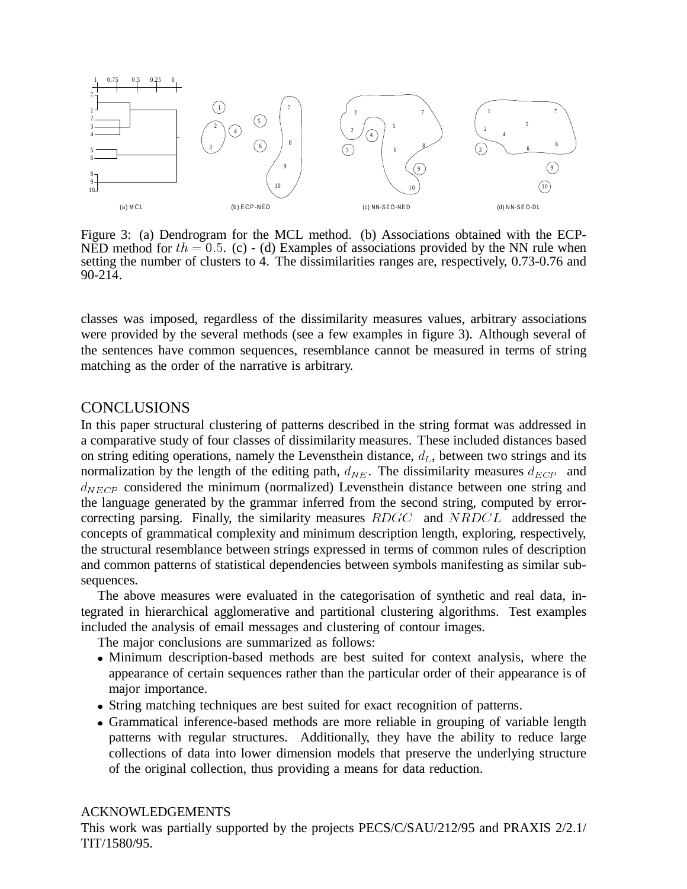

Figure 3: (a) Dendrogram for the MCL method. (b) Associations obtained with the ECP-NED method for  $th = 0.5$ . (c) - (d) Examples of associations provided by the NN rule when setting the number of clusters to 4. The dissimilarities ranges are, respectively, 0.73-0.76 and 90-214.

classes was imposed, regardless of the dissimilarity measures values, arbitrary associations were provided by the several methods (see a few examples in figure 3). Although several of the sentences have common sequences, resemblance cannot be measured in terms of string matching as the order of the narrative is arbitrary.

# **CONCLUSIONS**

In this paper structural clustering of patterns described in the string format was addressed in a comparative study of four classes of dissimilarity measures. These included distances based on string editing operations, namely the Levensthein distance,  $d_L$ , between two strings and its normalization by the length of the editing path,  $d_{NE}$ . The dissimilarity measures  $d_{ECP}$  and  $d_{NECP}$  considered the minimum (normalized) Levensthein distance between one string and the language generated by the grammar inferred from the second string, computed by errorcorrecting parsing. Finally, the similarity measures  $RDCC$  and  $NRDCL$  addressed the concepts of grammatical complexity and minimum description length, exploring, respectively, the structural resemblance between strings expressed in terms of common rules of description and common patterns of statistical dependencies between symbols manifesting as similar subsequences.

The above measures were evaluated in the categorisation of synthetic and real data, integrated in hierarchical agglomerative and partitional clustering algorithms. Test examples included the analysis of email messages and clustering of contour images.

The major conclusions are summarized as follows:

- Minimum description-based methods are best suited for context analysis, where the appearance of certain sequences rather than the particular order of their appearance is of major importance.
- String matching techniques are best suited for exact recognition of patterns.
- Grammatical inference-based methods are more reliable in grouping of variable length patterns with regular structures. Additionally, they have the ability to reduce large collections of data into lower dimension models that preserve the underlying structure of the original collection, thus providing a means for data reduction.

## ACKNOWLEDGEMENTS

This work was partially supported by the projects PECS/C/SAU/212/95 and PRAXIS 2/2.1/ TIT/1580/95.